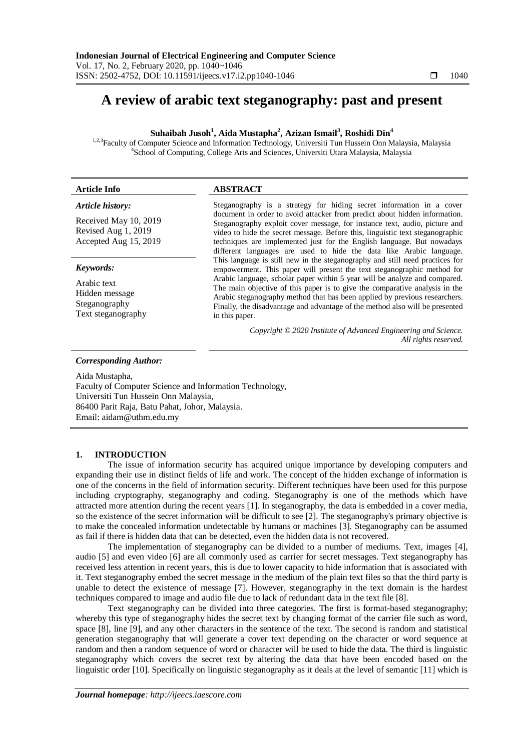# **A review of arabic text steganography: past and present**

# **Suhaibah Jusoh<sup>1</sup> , Aida Mustapha<sup>2</sup> , Azizan Ismail<sup>3</sup> , Roshidi Din<sup>4</sup>**

<sup>1,2,3</sup>Faculty of Computer Science and Information Technology, Universiti Tun Hussein Onn Malaysia, Malaysia 4 School of Computing, College Arts and Sciences, Universiti Utara Malaysia, Malaysia

| <b>Article Info</b>                                                                       | <b>ABSTRACT</b>                                                                                                                                                                                                                                                                                                                                                                                                                                                                                                                                                                                 |
|-------------------------------------------------------------------------------------------|-------------------------------------------------------------------------------------------------------------------------------------------------------------------------------------------------------------------------------------------------------------------------------------------------------------------------------------------------------------------------------------------------------------------------------------------------------------------------------------------------------------------------------------------------------------------------------------------------|
| Article history:<br>Received May 10, 2019<br>Revised Aug 1, 2019<br>Accepted Aug 15, 2019 | Steganography is a strategy for hiding secret information in a cover<br>document in order to avoid attacker from predict about hidden information.<br>Steganography exploit cover message, for instance text, audio, picture and<br>video to hide the secret message. Before this, linguistic text steganographic<br>techniques are implemented just for the English language. But nowadays<br>different languages are used to hide the data like Arabic language.                                                                                                                              |
| Keywords:<br>Arabic text<br>Hidden message<br>Steganography<br>Text steganography         | This language is still new in the steganography and still need practices for<br>empowerment. This paper will present the text steganographic method for<br>Arabic language, scholar paper within 5 year will be analyze and compared.<br>The main objective of this paper is to give the comparative analysis in the<br>Arabic steganography method that has been applied by previous researchers.<br>Finally, the disadvantage and advantage of the method also will be presented<br>in this paper.<br>Copyright © 2020 Institute of Advanced Engineering and Science.<br>All rights reserved. |

## *Corresponding Author:*

Aida Mustapha, Faculty of Computer Science and Information Technology, Universiti Tun Hussein Onn Malaysia, 86400 Parit Raja, Batu Pahat, Johor, Malaysia. Email: aidam@uthm.edu.my

## **1. INTRODUCTION**

The issue of information security has acquired unique importance by developing computers and expanding their use in distinct fields of life and work. The concept of the hidden exchange of information is one of the concerns in the field of information security. Different techniques have been used for this purpose including cryptography, steganography and coding. Steganography is one of the methods which have attracted more attention during the recent years [1]. In steganography, the data is embedded in a cover media, so the existence of the secret information will be difficult to see [2]. The steganography's primary objective is to make the concealed information undetectable by humans or machines [3]. Steganography can be assumed as fail if there is hidden data that can be detected, even the hidden data is not recovered.

The implementation of steganography can be divided to a number of mediums. Text, images [4], audio [5] and even video [6] are all commonly used as carrier for secret messages. Text steganography has received less attention in recent years, this is due to lower capacity to hide information that is associated with it. Text steganography embed the secret message in the medium of the plain text files so that the third party is unable to detect the existence of message [7]. However, steganography in the text domain is the hardest techniques compared to image and audio file due to lack of redundant data in the text file [8].

Text steganography can be divided into three categories. The first is format-based steganography; whereby this type of steganography hides the secret text by changing format of the carrier file such as word, space [8], line [9], and any other characters in the sentence of the text. The second is random and statistical generation steganography that will generate a cover text depending on the character or word sequence at random and then a random sequence of word or character will be used to hide the data. The third is linguistic steganography which covers the secret text by altering the data that have been encoded based on the linguistic order [10]. Specifically on linguistic steganography as it deals at the level of semantic [11] which is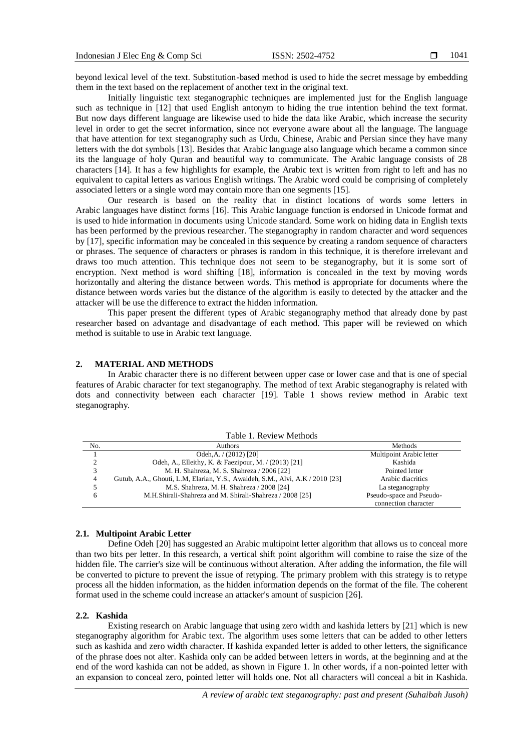beyond lexical level of the text. Substitution-based method is used to hide the secret message by embedding them in the text based on the replacement of another text in the original text.

Initially linguistic text steganographic techniques are implemented just for the English language such as technique in [12] that used English antonym to hiding the true intention behind the text format. But now days different language are likewise used to hide the data like Arabic, which increase the security level in order to get the secret information, since not everyone aware about all the language. The language that have attention for text steganography such as Urdu, Chinese, Arabic and Persian since they have many letters with the dot symbols [13]. Besides that Arabic language also language which became a common since its the language of holy Quran and beautiful way to communicate. The Arabic language consists of 28 characters [14]. It has a few highlights for example, the Arabic text is written from right to left and has no equivalent to capital letters as various English writings. The Arabic word could be comprising of completely associated letters or a single word may contain more than one segments [15].

Our research is based on the reality that in distinct locations of words some letters in Arabic languages have distinct forms [16]. This Arabic language function is endorsed in Unicode format and is used to hide information in documents using Unicode standard. Some work on hiding data in English texts has been performed by the previous researcher. The steganography in random character and word sequences by [17], specific information may be concealed in this sequence by creating a random sequence of characters or phrases. The sequence of characters or phrases is random in this technique, it is therefore irrelevant and draws too much attention. This technique does not seem to be steganography, but it is some sort of encryption. Next method is word shifting [18], information is concealed in the text by moving words horizontally and altering the distance between words. This method is appropriate for documents where the distance between words varies but the distance of the algorithm is easily to detected by the attacker and the attacker will be use the difference to extract the hidden information.

This paper present the different types of Arabic steganography method that already done by past researcher based on advantage and disadvantage of each method. This paper will be reviewed on which method is suitable to use in Arabic text language.

## **2. MATERIAL AND METHODS**

In Arabic character there is no different between upper case or lower case and that is one of special features of Arabic character for text steganography. The method of text Arabic steganography is related with dots and connectivity between each character [19]. Table 1 shows review method in Arabic text steganography.

| Table 1. Review Methods |                                                                               |                          |  |  |  |  |
|-------------------------|-------------------------------------------------------------------------------|--------------------------|--|--|--|--|
| No.                     | Authors                                                                       | Methods                  |  |  |  |  |
|                         | Odeh, A. $/$ (2012) [20]                                                      | Multipoint Arabic letter |  |  |  |  |
|                         | Odeh, A., Elleithy, K. & Faezipour, M. / (2013) [21]                          | Kashida                  |  |  |  |  |
|                         | M. H. Shahreza, M. S. Shahreza / 2006 [22]                                    | Pointed letter           |  |  |  |  |
| 4                       | Gutub, A.A., Ghouti, L.M, Elarian, Y.S., Awaideh, S.M., Alvi, A.K / 2010 [23] | Arabic diacritics        |  |  |  |  |
|                         | M.S. Shahreza, M. H. Shahreza / 2008 [24]                                     | La steganography         |  |  |  |  |
| 6                       | M.H.Shirali-Shahreza and M. Shirali-Shahreza / 2008 [25]                      | Pseudo-space and Pseudo- |  |  |  |  |
|                         |                                                                               | connection character     |  |  |  |  |

#### **2.1. Multipoint Arabic Letter**

Define Odeh [20] has suggested an Arabic multipoint letter algorithm that allows us to conceal more than two bits per letter. In this research, a vertical shift point algorithm will combine to raise the size of the hidden file. The carrier's size will be continuous without alteration. After adding the information, the file will be converted to picture to prevent the issue of retyping. The primary problem with this strategy is to retype process all the hidden information, as the hidden information depends on the format of the file. The coherent format used in the scheme could increase an attacker's amount of suspicion [26].

#### **2.2. Kashida**

Existing research on Arabic language that using zero width and kashida letters by [21] which is new steganography algorithm for Arabic text. The algorithm uses some letters that can be added to other letters such as kashida and zero width character. If kashida expanded letter is added to other letters, the significance of the phrase does not alter. Kashida only can be added between letters in words, at the beginning and at the end of the word kashida can not be added, as shown in Figure 1. In other words, if a non-pointed letter with an expansion to conceal zero, pointed letter will holds one. Not all characters will conceal a bit in Kashida.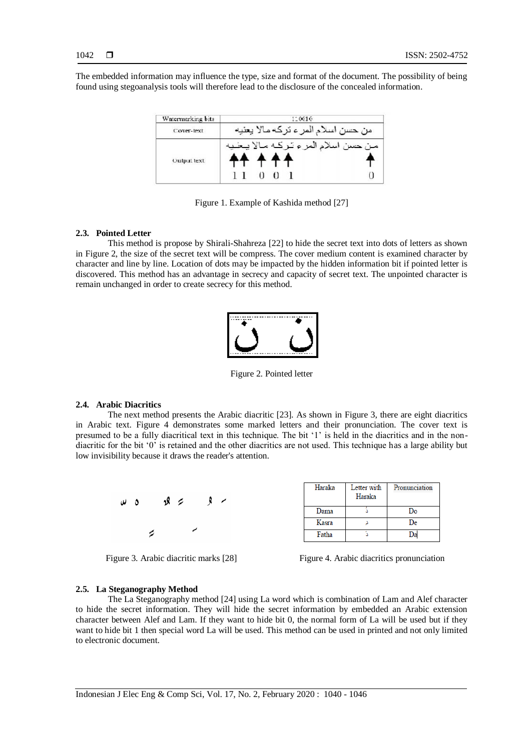The embedded information may influence the type, size and format of the document. The possibility of being found using stegoanalysis tools will therefore lead to the disclosure of the concealed information.



Figure 1. Example of Kashida method [27]

## **2.3. Pointed Letter**

This method is propose by Shirali-Shahreza [22] to hide the secret text into dots of letters as shown in Figure 2, the size of the secret text will be compress. The cover medium content is examined character by character and line by line. Location of dots may be impacted by the hidden information bit if pointed letter is discovered. This method has an advantage in secrecy and capacity of secret text. The unpointed character is remain unchanged in order to create secrecy for this method.



Figure 2. Pointed letter

## **2.4. Arabic Diacritics**

The next method presents the Arabic diacritic [23]. As shown in Figure 3, there are eight diacritics in Arabic text. Figure 4 demonstrates some marked letters and their pronunciation. The cover text is presumed to be a fully diacritical text in this technique. The bit "1" is held in the diacritics and in the nondiacritic for the bit "0" is retained and the other diacritics are not used. This technique has a large ability but low invisibility because it draws the reader's attention.



| Haraka | Letter with<br>Haraka | Pronunciation |
|--------|-----------------------|---------------|
| Dama   |                       | Do            |
| Kasra  |                       | De            |
| Fatha  |                       |               |

Figure 3. Arabic diacritic marks [28] Figure 4. Arabic diacritics pronunciation

#### **2.5. La Steganography Method**

The La Steganography method [24] using La word which is combination of Lam and Alef character to hide the secret information. They will hide the secret information by embedded an Arabic extension character between Alef and Lam. If they want to hide bit 0, the normal form of La will be used but if they want to hide bit 1 then special word La will be used. This method can be used in printed and not only limited to electronic document.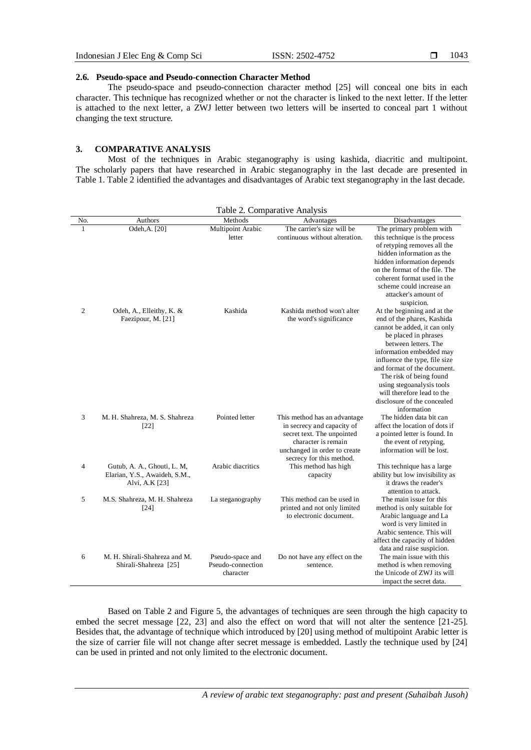## **2.6. Pseudo-space and Pseudo-connection Character Method**

The pseudo-space and pseudo-connection character method [25] will conceal one bits in each character. This technique has recognized whether or not the character is linked to the next letter. If the letter is attached to the next letter, a ZWJ letter between two letters will be inserted to conceal part 1 without changing the text structure.

# **3. COMPARATIVE ANALYSIS**

Most of the techniques in Arabic steganography is using kashida, diacritic and multipoint. The scholarly papers that have researched in Arabic steganography in the last decade are presented in Table 1. Table 2 identified the advantages and disadvantages of Arabic text steganography in the last decade.

| Table 2. Comparative Analysis |                                                                                |                                                    |                                                                                                                                                                             |                                                                                                                                                                                                                                                                                                                                                                           |  |  |  |  |
|-------------------------------|--------------------------------------------------------------------------------|----------------------------------------------------|-----------------------------------------------------------------------------------------------------------------------------------------------------------------------------|---------------------------------------------------------------------------------------------------------------------------------------------------------------------------------------------------------------------------------------------------------------------------------------------------------------------------------------------------------------------------|--|--|--|--|
| No.                           | Authors                                                                        | Methods                                            | Advantages                                                                                                                                                                  | Disadvantages                                                                                                                                                                                                                                                                                                                                                             |  |  |  |  |
| $\mathbf{1}$                  | Odeh, A. [20]                                                                  | Multipoint Arabic<br>letter                        | The carrier's size will be<br>continuous without alteration.                                                                                                                | The primary problem with<br>this technique is the process<br>of retyping removes all the<br>hidden information as the<br>hidden information depends<br>on the format of the file. The<br>coherent format used in the<br>scheme could increase an<br>attacker's amount of<br>suspicion.                                                                                    |  |  |  |  |
| $\overline{2}$                | Odeh, A., Elleithy, K. &<br>Faezipour, M. [21]                                 | Kashida                                            | Kashida method won't alter<br>the word's significance                                                                                                                       | At the beginning and at the<br>end of the phares, Kashida<br>cannot be added, it can only<br>be placed in phrases<br>between letters. The<br>information embedded may<br>influence the type, file size<br>and format of the document.<br>The risk of being found<br>using stegoanalysis tools<br>will therefore lead to the<br>disclosure of the concealed<br>information |  |  |  |  |
| 3                             | M. H. Shahreza, M. S. Shahreza<br>$[22]$                                       | Pointed letter                                     | This method has an advantage<br>in secrecy and capacity of<br>secret text. The unpointed<br>character is remain<br>unchanged in order to create<br>secrecy for this method. | The hidden data bit can<br>affect the location of dots if<br>a pointed letter is found. In<br>the event of retyping,<br>information will be lost.                                                                                                                                                                                                                         |  |  |  |  |
| 4                             | Gutub, A. A., Ghouti, L. M,<br>Elarian, Y.S., Awaideh, S.M.,<br>Alvi, A.K [23] | Arabic diacritics                                  | This method has high<br>capacity                                                                                                                                            | This technique has a large<br>ability but low invisibility as<br>it draws the reader's<br>attention to attack.                                                                                                                                                                                                                                                            |  |  |  |  |
| 5                             | M.S. Shahreza, M. H. Shahreza<br>$[24]$                                        | La steganography                                   | This method can be used in<br>printed and not only limited<br>to electronic document.                                                                                       | The main issue for this<br>method is only suitable for<br>Arabic language and La<br>word is very limited in<br>Arabic sentence. This will<br>affect the capacity of hidden<br>data and raise suspicion.                                                                                                                                                                   |  |  |  |  |
| 6                             | M. H. Shirali-Shahreza and M.<br>Shirali-Shahreza [25]                         | Pseudo-space and<br>Pseudo-connection<br>character | Do not have any effect on the<br>sentence.                                                                                                                                  | The main issue with this<br>method is when removing<br>the Unicode of ZWJ its will<br>impact the secret data.                                                                                                                                                                                                                                                             |  |  |  |  |

Based on Table 2 and Figure 5, the advantages of techniques are seen through the high capacity to embed the secret message [22, 23] and also the effect on word that will not alter the sentence [21-25]. Besides that, the advantage of technique which introduced by [20] using method of multipoint Arabic letter is the size of carrier file will not change after secret message is embedded. Lastly the technique used by [24] can be used in printed and not only limited to the electronic document.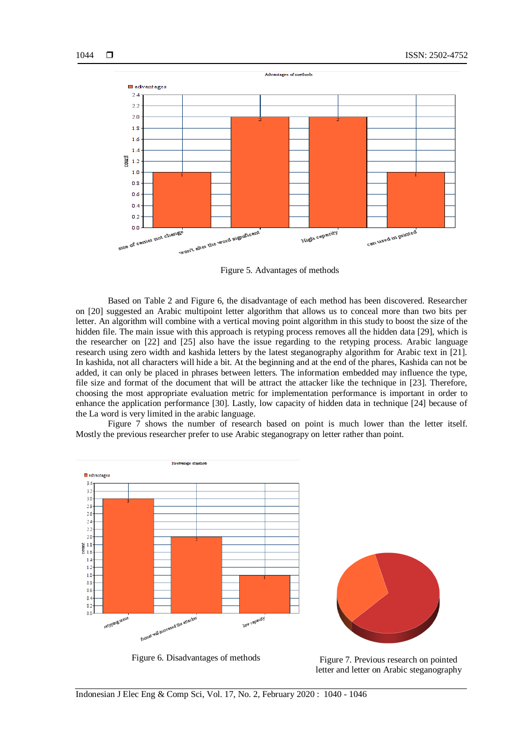

Figure 5. Advantages of methods

Based on Table 2 and Figure 6, the disadvantage of each method has been discovered. Researcher on [20] suggested an Arabic multipoint letter algorithm that allows us to conceal more than two bits per letter. An algorithm will combine with a vertical moving point algorithm in this study to boost the size of the hidden file. The main issue with this approach is retyping process removes all the hidden data [29], which is the researcher on [22] and [25] also have the issue regarding to the retyping process. Arabic language research using zero width and kashida letters by the latest steganography algorithm for Arabic text in [21]. In kashida, not all characters will hide a bit. At the beginning and at the end of the phares, Kashida can not be added, it can only be placed in phrases between letters. The information embedded may influence the type, file size and format of the document that will be attract the attacker like the technique in [23]. Therefore, choosing the most appropriate evaluation metric for implementation performance is important in order to enhance the application performance [30]. Lastly, low capacity of hidden data in technique [24] because of the La word is very limited in the arabic language.

Figure 7 shows the number of research based on point is much lower than the letter itself. Mostly the previous researcher prefer to use Arabic steganograpy on letter rather than point.



Figure 6. Disadvantages of methods<br>Figure 7. Previous research on pointed

letter and letter on Arabic steganography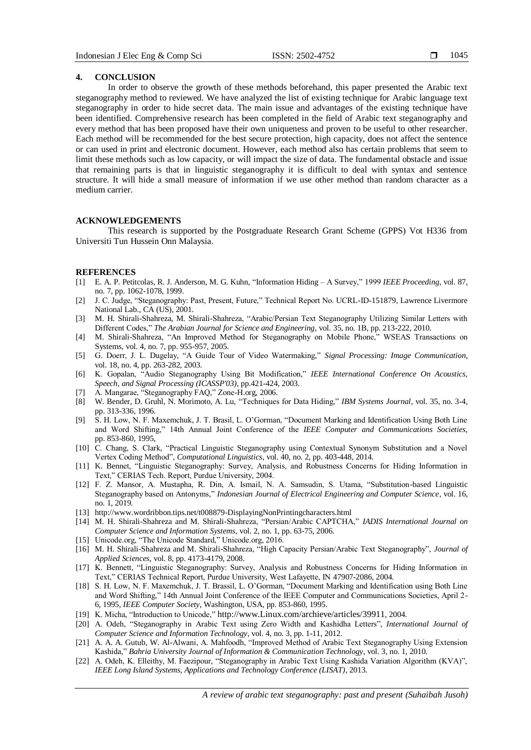#### **4. CONCLUSION**

In order to observe the growth of these methods beforehand, this paper presented the Arabic text steganography method to reviewed. We have analyzed the list of existing technique for Arabic language text steganography in order to hide secret data. The main issue and advantages of the existing technique have been identified. Comprehensive research has been completed in the field of Arabic text steganography and every method that has been proposed have their own uniqueness and proven to be useful to other researcher. Each method will be recommended for the best secure protection, high capacity, does not affect the sentence or can used in print and electronic document. However, each method also has certain problems that seem to limit these methods such as low capacity, or will impact the size of data. The fundamental obstacle and issue that remaining parts is that in linguistic steganography it is difficult to deal with syntax and sentence structure. It will hide a small measure of information if we use other method than random character as a medium carrier.

## **ACKNOWLEDGEMENTS**

This research is supported by the Postgraduate Research Grant Scheme (GPPS) Vot H336 from Universiti Tun Hussein Onn Malaysia.

#### **REFERENCES**

- [1] E. A. P. Petitcolas, R. J. Anderson, M. G. Kuhn, "Information Hiding A Survey," 1999 *IEEE Proceeding*, vol. 87, no. 7, pp. 1062-1078, 1999.
- [2] J. C. Judge, "Steganography: Past, Present, Future," Technical Report No. UCRL-ID-151879, Lawrence Livermore National Lab., CA (US), 2001.
- [3] M. H. Shirali-Shahreza, M. Shirali-Shahreza, "Arabic/Persian Text Steganography Utilizing Similar Letters with Different Codes," *The Arabian Journal for Science and Engineering*, vol. 35, no. 1B, pp. 213-222, 2010.
- [4] M. Shirali-Shahreza, "An Improved Method for Steganography on Mobile Phone," WSEAS Transactions on Systems, vol. 4, no. 7, pp. 955-957, 2005.
- [5] G. Doerr, J. L. Dugelay, "A Guide Tour of Video Watermaking," *Signal Processing: Image Communication*, vol. 18, no. 4, pp. 263-282, 2003.
- [6] K. Gopalan, "Audio Steganography Using Bit Modification," *IEEE International Conference On Acoustics, Speech, and Signal Processing (ICASSP'03)*, pp.421-424, 2003.
- [7] A. Mangarae, "Steganography FAQ," Zone-H.org, 2006.
- [8] W. Bender, D. Gruhl, N. Morimoto, A. Lu, "Techniques for Data Hiding," *IBM Systems Journal*, vol. 35, no. 3-4, pp. 313-336, 1996.
- [9] S. H. Low, N. F. Maxemchuk, J. T. Brasil, L. O"Gorman, "Document Marking and Identification Using Both Line and Word Shifting," 14th Annual Joint Conference of the *IEEE Computer and Communications Societies*, pp. 853-860, 1995,
- [10] C. Chang, S. Clark, "Practical Linguistic Steganography using Contextual Synonym Substitution and a Novel Vertex Coding Method", *Computational Linguistics*, vol. 40, no. 2, pp. 403-448, 2014.
- [11] K. Bennet, "Linguistic Steganography: Survey, Analysis, and Robustness Concerns for Hiding Information in Text," CERIAS Tech. Report, Purdue University, 2004.
- [12] F. Z. Mansor, A. Mustapha, R. Din, A. Ismail, N. A. Samsudin, S. Utama, "Substitution-based Linguistic Steganography based on Antonyms," *Indonesian Journal of Electrical Engineering and Computer Science*, vol. 16, no. 1, 2019.
- [13] http://www.wordribbon.tips.net/t008879-DisplayingNonPrintingcharacters.html
- [14] M. H. Shirali-Shahreza and M. Shirali-Shahreza, "Persian/Arabic CAPTCHA," *IADIS International Journal on Computer Science and Information Systems*, vol. 2, no. 1, pp. 63-75, 2006.
- [15] Unicode.org, "The Unicode Standard," Unicode.org, 2016.
- [16] M. H. Shirali-Shahreza and M. Shirali-Shahreza, "High Capacity Persian/Arabic Text Steganography", *Journal of Applied Sciences*, vol. 8, pp. 4173-4179, 2008.
- [17] K. Bennett, "Linguistic Steganography: Survey, Analysis and Robustness Concerns for Hiding Information in Text," CERIAS Technical Report, Purdue University, West Lafayette, IN 47907-2086, 2004.
- [18] S. H. Low, N. F. Maxemchuk, J. T. Brassil, L. O"Gorman, "Document Marking and Identification using Both Line and Word Shifting," 14th Annual Joint Conference of the IEEE Computer and Communications Societies, April 2- 6, 1995, *IEEE Computer Society*, Washington, USA, pp. 853-860, 1995.
- [19] K. Micha, "Introduction to Unicode," [http://www.Linux.com/archieve/articles/39911](http://www.linux.com/archieve/articles/39911), 2004.
- [20] A. Odeh, "Steganography in Arabic Text using Zero Width and Kashidha Letters", *International Journal of Computer Science and Information Technology*, vol. 4, no. 3, pp. 1-11, 2012.
- [21] A. A. A. Gutub, W. Al-Alwani, A. Mahfoodh, "Improved Method of Arabic Text Steganography Using Extension Kashida," *Bahria University Journal of Information & Communication Technology*, vol. 3, no. 1, 2010.
- [22] A. Odeh, K. Elleithy, M. Faezipour, "Steganography in Arabic Text Using Kashida Variation Algorithm (KVA)", *IEEE Long Island Systems, Applications and Technology Conference (LISAT)*, 2013.